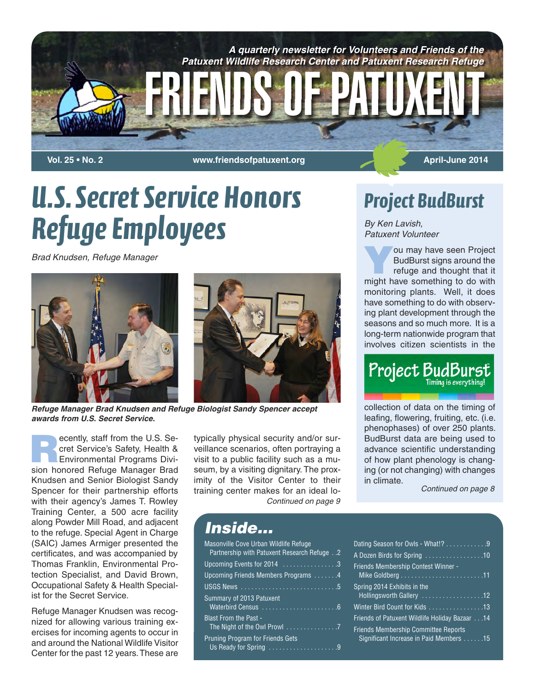

**Vol. 25 • No. 2 WOL. 25 • No. 2 April-June 2014** 

# *U.S. Secret Service Honors Refuge Employees*

*Brad Knudsen, Refuge Manager*



*Refuge Manager Brad Knudsen and Refuge Biologist Sandy Spencer accept awards from U.S. Secret Service.*

**Recently, staff from the U.S. Se-<br>
Cret Service's Safety, Health &<br>
Environmental Programs Divi**cret Service's Safety, Health & sion honored Refuge Manager Brad Knudsen and Senior Biologist Sandy Spencer for their partnership efforts with their agency's James T. Rowley Training Center, a 500 acre facility along Powder Mill Road, and adjacent to the refuge. Special Agent in Charge (SAIC) James Armiger presented the certificates, and was accompanied by Thomas Franklin, Environmental Protection Specialist, and David Brown, Occupational Safety & Health Specialist for the Secret Service.

Refuge Manager Knudsen was recognized for allowing various training exercises for incoming agents to occur in and around the National Wildlife Visitor Center for the past 12 years.These are

typically physical security and/or surveillance scenarios, often portraying a visit to a public facility such as a museum, by a visiting dignitary. The proximity of the Visitor Center to their training center makes for an ideal lo-*Continued on page 9*

## *Project BudBurst*

*By Ken Lavish, Patuxent Volunteer*

**Y**ou may have seen Project BudBurst signs around the refuge and thought that it might have something to do with monitoring plants. Well, it does have something to do with observing plant development through the seasons and so much more. It is a long-term nationwide program that involves citizen scientists in the



collection of data on the timing of leafing, flowering, fruiting, etc. (i.e. phenophases) of over 250 plants. BudBurst data are being used to advance scientific understanding of how plant phenology is changing (or not changing) with changes in climate.

*Continued on page 8*

| Inside |
|--------|
|--------|

| <b>Masonville Cove Urban Wildlife Refuge</b><br>Partnership with Patuxent Research Refuge 2 |  |
|---------------------------------------------------------------------------------------------|--|
| Upcoming Events for 2014 $\ldots \ldots \ldots \ldots \ldots$                               |  |
| Upcoming Friends Members Programs 4                                                         |  |
|                                                                                             |  |
| Summary of 2013 Patuxent                                                                    |  |
| <b>Blast From the Past -</b>                                                                |  |
| <b>Pruning Program for Friends Gets</b><br>Us Ready for Spring 9                            |  |

| Dating Season for Owls - What!? 9                                                      |
|----------------------------------------------------------------------------------------|
| A Dozen Birds for Spring 10                                                            |
| Friends Membership Contest Winner -                                                    |
| Spring 2014 Exhibits in the<br>Hollingsworth Gallery 12                                |
| Winter Bird Count for Kids 13                                                          |
| Friends of Patuxent Wildlife Holiday Bazaar 14                                         |
| <b>Friends Membership Committee Reports</b><br>Significant Increase in Paid Members 15 |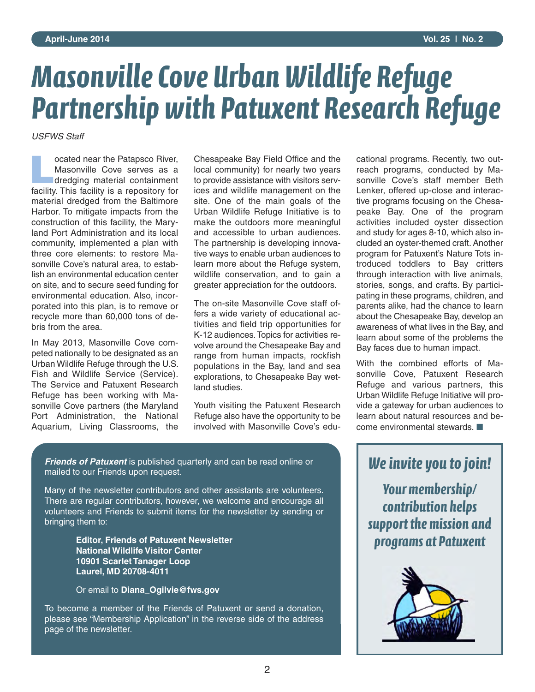# *Masonville Cove Urban Wildlife Refuge Partnership with Patuxent Research Refuge*

*USFWS Staff*

**Located near the Patapsco River,<br>
Masonville Cove serves as a<br>
dredging material containment** Masonville Cove serves as a facility. This facility is a repository for material dredged from the Baltimore Harbor. To mitigate impacts from the construction of this facility, the Maryland Port Administration and its local community, implemented a plan with three core elements: to restore Masonville Cove's natural area, to establish an environmental education center on site, and to secure seed funding for environmental education. Also, incorporated into this plan, is to remove or recycle more than 60,000 tons of debris from the area.

In May 2013, Masonville Cove competed nationally to be designated as an Urban Wildlife Refuge through the U.S. Fish and Wildlife Service (Service). The Service and Patuxent Research Refuge has been working with Masonville Cove partners (the Maryland Port Administration, the National Aquarium, Living Classrooms, the

Chesapeake Bay Field Office and the local community) for nearly two years to provide assistance with visitors services and wildlife management on the site. One of the main goals of the Urban Wildlife Refuge Initiative is to make the outdoors more meaningful and accessible to urban audiences. The partnership is developing innovative ways to enable urban audiences to learn more about the Refuge system, wildlife conservation, and to gain a greater appreciation for the outdoors.

The on-site Masonville Cove staff offers a wide variety of educational activities and field trip opportunities for K-12 audiences.Topics for activities revolve around the Chesapeake Bay and range from human impacts, rockfish populations in the Bay, land and sea explorations, to Chesapeake Bay wetland studies.

Youth visiting the Patuxent Research Refuge also have the opportunity to be involved with Masonville Cove's educational programs. Recently, two outreach programs, conducted by Masonville Cove's staff member Beth Lenker, offered up-close and interactive programs focusing on the Chesapeake Bay. One of the program activities included oyster dissection and study for ages 8-10, which also included an oyster-themed craft. Another program for Patuxent's Nature Tots introduced toddlers to Bay critters through interaction with live animals, stories, songs, and crafts. By participating in these programs, children, and parents alike, had the chance to learn about the Chesapeake Bay, develop an awareness of what lives in the Bay, and learn about some of the problems the Bay faces due to human impact.

With the combined efforts of Masonville Cove, Patuxent Research Refuge and various partners, this Urban Wildlife Refuge Initiative will provide a gateway for urban audiences to learn about natural resources and become environmental stewards. ■

*Friends of Patuxent* is published quarterly and can be read online or mailed to our Friends upon request.

Many of the newsletter contributors and other assistants are volunteers. There are regular contributors, however, we welcome and encourage all volunteers and Friends to submit items for the newsletter by sending or bringing them to:

> **Editor, Friends of Patuxent Newsletter National Wildlife Visitor Center 10901 Scarlet Tanager Loop Laurel, MD 20708-4011**

Or email to **Diana\_Ogilvie@fws.gov**

To become a member of the Friends of Patuxent or send a donation, please see "Membership Application" in the reverse side of the address page of the newsletter.

*We invite you to join!*

*Your membership/ contribution helps support the mission and programs at Patuxent*

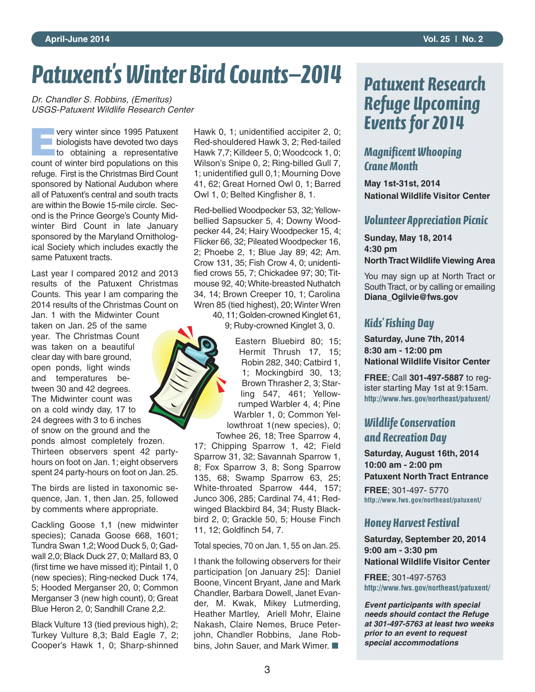# *Patuxent's Winter Bird Counts—2014*

*Dr. Chandler S. Robbins, (Emeritus) USGS-Patuxent Wildlife Research Center*

**EVERY Winter since 1995 Patuxent<br>
biologists have devoted two days<br>
to obtaining a representative biologists have devoted two days** count of winter bird populations on this refuge. First is the Christmas Bird Count sponsored by National Audubon where all of Patuxent's central and south tracts are within the Bowie 15-mile circle. Second is the Prince George's County Midwinter Bird Count in late January sponsored by the Maryland Ornithological Society which includes exactly the same Patuxent tracts.

Last year I compared 2012 and 2013 results of the Patuxent Christmas Counts. This year I am comparing the 2014 results of the Christmas Count on Jan. 1 with the Midwinter Count taken on Jan. 25 of the same year. The Christmas Count was taken on a beautiful clear day with bare ground, open ponds, light winds and temperatures between 30 and 42 degrees. The Midwinter count was on a cold windy day, 17 to 24 degrees with 3 to 6 inches of snow on the ground and the ponds almost completely frozen. Thirteen observers spent 42 partyhours on foot on Jan. 1; eight observers

The birds are listed in taxonomic sequence, Jan. 1, then Jan. 25, followed by comments where appropriate.

spent 24 party-hours on foot on Jan. 25.

Cackling Goose 1,1 (new midwinter species); Canada Goose 668, 1601; Tundra Swan 1,2;Wood Duck 5, 0; Gadwall 2,0; Black Duck 27, 0; Mallard 83, 0 (first time we have missed it); Pintail 1, 0 (new species); Ring-necked Duck 174, 5; Hooded Merganser 20, 0; Common Merganser 3 (new high count), 0; Great Blue Heron 2, 0; Sandhill Crane 2,2.

Black Vulture 13 (tied previous high), 2; Turkey Vulture 8,3; Bald Eagle 7, 2; Cooper's Hawk 1, 0; Sharp-shinned Hawk 0, 1; unidentified accipiter 2, 0; Red-shouldered Hawk 3, 2; Red-tailed Hawk 7,7; Killdeer 5, 0; Woodcock 1, 0; Wilson's Snipe 0, 2; Ring-billed Gull 7, 1; unidentified gull 0,1; Mourning Dove 41, 62; Great Horned Owl 0, 1; Barred Owl 1, 0; Belted Kingfisher 8, 1.

Red-bellied Woodpecker 53, 32; Yellowbellied Sapsucker 5, 4; Downy Woodpecker 44, 24; Hairy Woodpecker 15, 4; Flicker 66, 32; Pileated Woodpecker 16, 2; Phoebe 2, 1; Blue Jay 89; 42; Am. Crow 131, 35; Fish Crow 4, 0; unidentified crows 55, 7; Chickadee 97; 30; Titmouse 92, 40;White-breasted Nuthatch 34, 14; Brown Creeper 10, 1; Carolina Wren 85 (tied highest), 20; Winter Wren

40, 11; Golden-crowned Kinglet 61, 9; Ruby-crowned Kinglet 3, 0.

Eastern Bluebird 80; 15; Hermit Thrush 17, 15; Robin 282, 340; Catbird 1, 1; Mockingbird 30, 13; Brown Thrasher 2, 3; Starling 547, 461; Yellowrumped Warbler 4, 4; Pine Warbler 1, 0; Common Yellowthroat 1(new species), 0; Towhee 26, 18; Tree Sparrow 4,

17; Chipping Sparrow 1, 42; Field Sparrow 31, 32; Savannah Sparrow 1, 8; Fox Sparrow 3, 8; Song Sparrow 135, 68; Swamp Sparrow 63, 25; White-throated Sparrow 444, 157; Junco 306, 285; Cardinal 74, 41; Redwinged Blackbird 84, 34; Rusty Blackbird 2, 0; Grackle 50, 5; House Finch 11, 12; Goldfinch 54, 7.

Total species, 70 on Jan. 1, 55 on Jan. 25.

I thank the following observers for their participation [on January 25]: Daniel Boone, Vincent Bryant, Jane and Mark Chandler, Barbara Dowell, Janet Evander, M. Kwak, Mikey Lutmerding, Heather Martley, Ariell Mohr, Elaine Nakash, Claire Nemes, Bruce Peterjohn, Chandler Robbins, Jane Robbins, John Sauer, and Mark Wimer. ■

## *Patuxent Research Refuge Upcoming Events for 2014*

#### *Magnificent Whooping Crane Month*

**May 1st-31st, 2014 National Wildlife Visitor Center**

#### *Volunteer Appreciation Picnic*

**Sunday, May 18, 2014 4:30 pm NorthTract Wildlife Viewing Area**

You may sign up at North Tract or South Tract, or by calling or emailing **Diana\_Ogilvie@fws.gov**

#### *Kids' Fishing Day*

**Saturday, June 7th, 2014 8:30 am - 12:00 pm National Wildlife Visitor Center**

**FREE**; Call **301-497-5887** to register starting May 1st at 9:15am. **http://www.fws.gov/northeast/patuxent/**

#### *Wildlife Conservation and Recreation Day*

**Saturday, August 16th, 2014 10:00 am - 2:00 pm Patuxent North Tract Entrance**

**FREE**; 301-497- 5770 **http://www.fws.gov/northeast/patuxent/**

#### *Honey Harvest Festival*

**Saturday, September 20, 2014 9:00 am - 3:30 pm National Wildlife Visitor Center**

**FREE**; 301-497-5763 **http://www.fws.gov/northeast/patuxent/**

*Event participants with special needs should contact the Refuge at 301-497-5763 at least two weeks prior to an event to request special accommodations*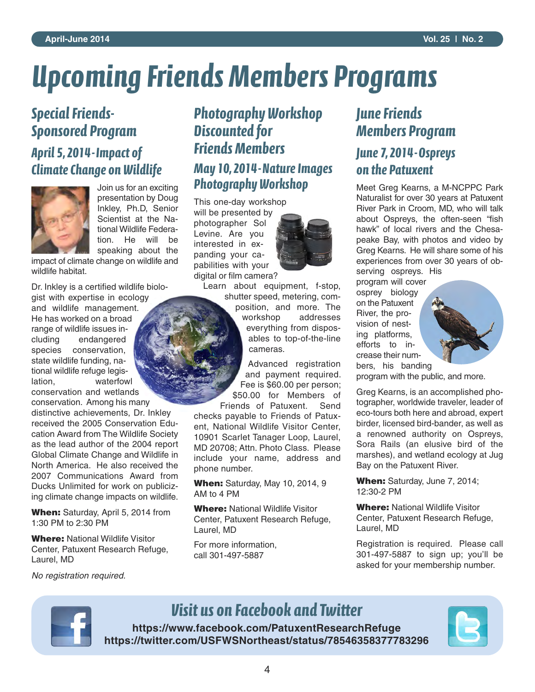# *Upcoming Friends Members Programs*

### *Special Friends-Sponsored Program*

*April 5, 2014-Impact of Climate Change on Wildlife*



Join us for an exciting presentation by Doug Inkley, Ph.D, Senior Scientist at the National Wildlife Federation. He will be speaking about the

impact of climate change on wildlife and wildlife habitat.

Dr. Inkley is a certified wildlife biologist with expertise in ecology

and wildlife management. He has worked on a broad range of wildlife issues including endangered species conservation, state wildlife funding, national wildlife refuge legislation, waterfowl conservation and wetlands

conservation. Among his many distinctive achievements, Dr. Inkley received the 2005 Conservation Education Award from The Wildlife Society as the lead author of the 2004 report Global Climate Change and Wildlife in North America. He also received the 2007 Communications Award from Ducks Unlimited for work on publicizing climate change impacts on wildlife.

**When:** Saturday, April 5, 2014 from 1:30 PM to 2:30 PM

**Where:** National Wildlife Visitor Center, Patuxent Research Refuge, Laurel, MD

#### *Photography Workshop Discounted for Friends Members May 10, 2014-Nature Images Photography Workshop*

This one-day workshop will be presented by photographer Sol Levine. Are you interested in ex-

pabilities with your digital or film camera?

panding your ca-

Learn about equipment, f-stop,

shutter speed, metering, composition, and more. The workshop addresses everything from disposables to top-of-the-line cameras.

Advanced registration and payment required. Fee is \$60.00 per person; \$50.00 for Members of

Friends of Patuxent. Send checks payable to Friends of Patuxent, National Wildlife Visitor Center, 10901 Scarlet Tanager Loop, Laurel, MD 20708; Attn. Photo Class. Please include your name, address and phone number.

**When:** Saturday, May 10, 2014, 9 AM to 4 PM

**Where:** National Wildlife Visitor Center, Patuxent Research Refuge, Laurel, MD

For more information, call 301-497-5887

#### *June Friends Members Program*

#### *June 7, 2014-Ospreys on the Patuxent*

Meet Greg Kearns, a M-NCPPC Park Naturalist for over 30 years at Patuxent River Park in Croom, MD, who will talk about Ospreys, the often-seen "fish hawk" of local rivers and the Chesapeake Bay, with photos and video by Greg Kearns. He will share some of his experiences from over 30 years of observing ospreys. His

program will cover osprey biology on the Patuxent River, the provision of nesting platforms, efforts to increase their numbers, his banding



program with the public, and more.

Greg Kearns, is an accomplished photographer, worldwide traveler, leader of eco-tours both here and abroad, expert birder, licensed bird-bander, as well as a renowned authority on Ospreys, Sora Rails (an elusive bird of the marshes), and wetland ecology at Jug Bay on the Patuxent River.

**When:** Saturday, June 7, 2014; 12:30-2 PM

**Where:** National Wildlife Visitor Center, Patuxent Research Refuge, Laurel, MD

Registration is required. Please call 301-497-5887 to sign up; you'll be asked for your membership number.

*No registration required.*



### *Visit us on Facebook and Twitter*

**https://www.facebook.com/PatuxentResearchRefuge https://twitter.com/USFWSNortheast/status/78546358377783296**

4

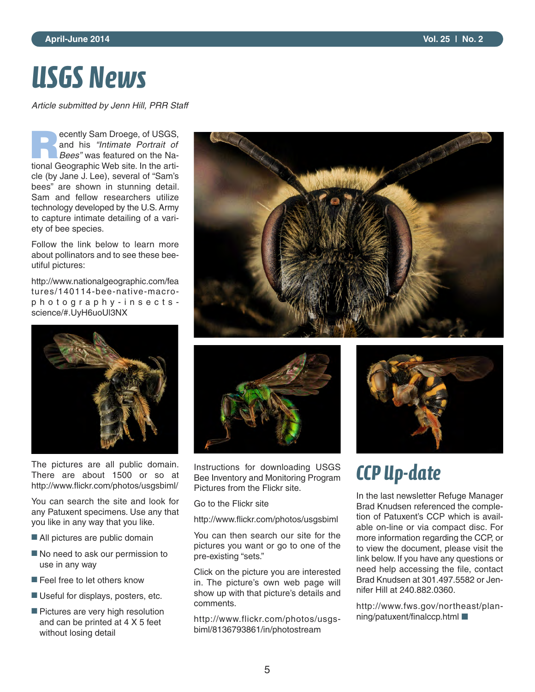# *USGS News*

*Article submitted by Jenn Hill, PRR Staff*

**R**ecently Sam Droege, of USGS, and his *"Intimate Portrait of Bees"* was featured on the National Geographic Web site. In the article (by Jane J. Lee), several of "Sam's bees" are shown in stunning detail. Sam and fellow researchers utilize technology developed by the U.S. Army to capture intimate detailing of a variety of bee species.

Follow the link below to learn more about pollinators and to see these beeutiful pictures:

http://www.nationalgeographic.com/fea tures/140114-bee-native-macrop h o t o g r a p h y - i n s e c t s science/#.UyH6uoUl3NX



The pictures are all public domain. There are about 1500 or so at http://www.flickr.com/photos/usgsbiml/

You can search the site and look for any Patuxent specimens. Use any that you like in any way that you like.

- All pictures are public domain
- No need to ask our permission to use in any way
- Feel free to let others know
- Useful for displays, posters, etc.
- Pictures are very high resolution and can be printed at 4 X 5 feet without losing detail





Instructions for downloading USGS Bee Inventory and Monitoring Program Pictures from the Flickr site.

Go to the Flickr site

http://www.flickr.com/photos/usgsbiml

You can then search our site for the pictures you want or go to one of the pre-existing "sets."

Click on the picture you are interested in. The picture's own web page will show up with that picture's details and comments.

http://www.flickr.com/photos/usgsbiml/8136793861/in/photostream



## *CCP Up-date*

In the last newsletter Refuge Manager Brad Knudsen referenced the completion of Patuxent's CCP which is available on-line or via compact disc. For more information regarding the CCP, or to view the document, please visit the link below. If you have any questions or need help accessing the file, contact Brad Knudsen at 301.497.5582 or Jennifer Hill at 240.882.0360.

http://www.fws.gov/northeast/planning/patuxent/finalccp.html ■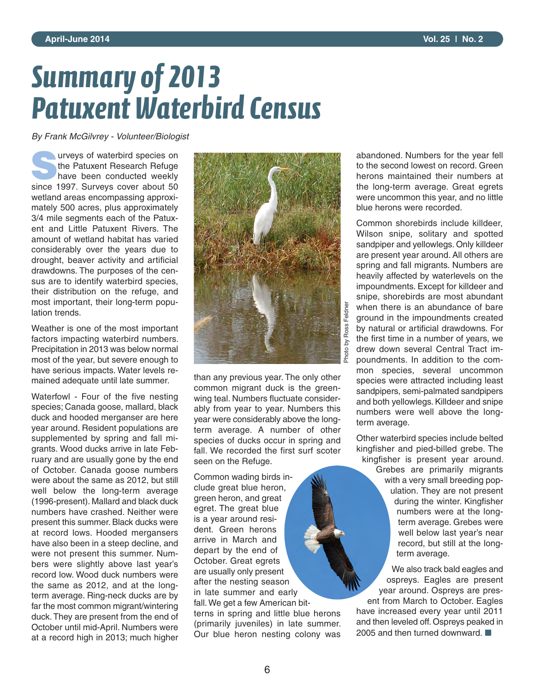# *Summary of 2013 Patuxent Waterbird Census*

*By Frank McGilvrey - Volunteer/Biologist*

urveys of waterbird species on the Patuxent Research Refuge have been conducted weekly since 1997. Surveys cover about 50 wetland areas encompassing approximately 500 acres, plus approximately 3/4 mile segments each of the Patuxent and Little Patuxent Rivers. The amount of wetland habitat has varied considerably over the years due to drought, beaver activity and artificial drawdowns. The purposes of the census are to identify waterbird species, their distribution on the refuge, and most important, their long-term population trends.

Weather is one of the most important factors impacting waterbird numbers. Precipitation in 2013 was below normal most of the year, but severe enough to have serious impacts. Water levels remained adequate until late summer.

Waterfowl - Four of the five nesting species; Canada goose, mallard, black duck and hooded merganser are here year around. Resident populations are supplemented by spring and fall migrants. Wood ducks arrive in late February and are usually gone by the end of October. Canada goose numbers were about the same as 2012, but still well below the long-term average (1996-present). Mallard and black duck numbers have crashed. Neither were present this summer. Black ducks were at record lows. Hooded mergansers have also been in a steep decline, and were not present this summer. Numbers were slightly above last year's record low. Wood duck numbers were the same as 2012, and at the longterm average. Ring-neck ducks are by far the most common migrant/wintering duck.They are present from the end of October until mid-April. Numbers were at a record high in 2013; much higher



than any previous year. The only other common migrant duck is the greenwing teal. Numbers fluctuate considerably from year to year. Numbers this year were considerably above the longterm average. A number of other species of ducks occur in spring and fall. We recorded the first surf scoter seen on the Refuge.

Common wading birds include great blue heron, green heron, and great egret. The great blue is a year around resident. Green herons arrive in March and depart by the end of October. Great egrets are usually only present after the nesting season in late summer and early fall.We get a few American bitterns in spring and little blue herons (primarily juveniles) in late summer. Our blue heron nesting colony was

abandoned. Numbers for the year fell to the second lowest on record. Green herons maintained their numbers at the long-term average. Great egrets were uncommon this year, and no little blue herons were recorded.

Common shorebirds include killdeer, Wilson snipe, solitary and spotted sandpiper and yellowlegs. Only killdeer are present year around. All others are spring and fall migrants. Numbers are heavily affected by waterlevels on the impoundments. Except for killdeer and snipe, shorebirds are most abundant when there is an abundance of bare ground in the impoundments created by natural or artificial drawdowns. For the first time in a number of years, we drew down several Central Tract impoundments. In addition to the common species, several uncommon species were attracted including least sandpipers, semi-palmated sandpipers and both yellowlegs. Killdeer and snipe numbers were well above the longterm average.

Other waterbird species include belted kingfisher and pied-billed grebe. The kingfisher is present year around. Grebes are primarily migrants with a very small breeding population. They are not present during the winter. Kingfisher numbers were at the longterm average. Grebes were well below last year's near record, but still at the longterm average.

We also track bald eagles and ospreys. Eagles are present year around. Ospreys are present from March to October. Eagles have increased every year until 2011 and then leveled off. Ospreys peaked in 2005 and then turned downward. ■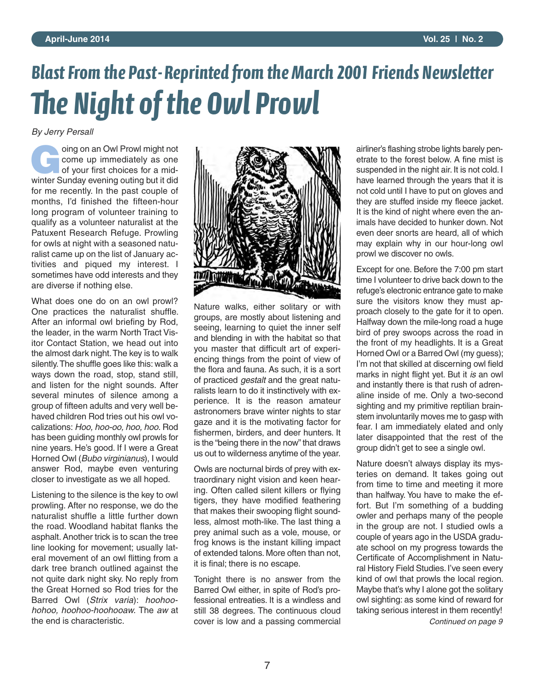# **Blast From the Past-Reprinted from the March 2001 Friends Newsletter** *e Night of the Owl Prowl*

*By Jerry Persall*

**G**oing on an Owl Prowl might not come up immediately as one of your first choices for a midwinter Sunday evening outing but it did for me recently. In the past couple of months, I'd finished the fifteen-hour long program of volunteer training to qualify as a volunteer naturalist at the Patuxent Research Refuge. Prowling for owls at night with a seasoned naturalist came up on the list of January activities and piqued my interest. I sometimes have odd interests and they are diverse if nothing else.

What does one do on an owl prowl? One practices the naturalist shuffle. After an informal owl briefing by Rod, the leader, in the warm North Tract Visitor Contact Station, we head out into the almost dark night.The key is to walk silently.The shuffle goes like this: walk a ways down the road, stop, stand still, and listen for the night sounds. After several minutes of silence among a group of fifteen adults and very well behaved children Rod tries out his owl vocalizations: *Hoo, hoo-oo, hoo, hoo.* Rod has been guiding monthly owl prowls for nine years. He's good. If I were a Great Horned Owl (*Bubo virginianus*), I would answer Rod, maybe even venturing closer to investigate as we all hoped.

Listening to the silence is the key to owl prowling. After no response, we do the naturalist shuffle a little further down the road. Woodland habitat flanks the asphalt. Another trick is to scan the tree line looking for movement; usually lateral movement of an owl flitting from a dark tree branch outlined against the not quite dark night sky. No reply from the Great Horned so Rod tries for the Barred Owl (*Strix varia*): *hoohoohohoo, hoohoo-hoohooaw.* The *aw* at the end is characteristic.



Nature walks, either solitary or with groups, are mostly about listening and seeing, learning to quiet the inner self and blending in with the habitat so that you master that difficult art of experiencing things from the point of view of the flora and fauna. As such, it is a sort of practiced *gestalt* and the great naturalists learn to do it instinctively with experience. It is the reason amateur astronomers brave winter nights to star gaze and it is the motivating factor for fishermen, birders, and deer hunters. It is the "being there in the now" that draws us out to wilderness anytime of the year.

Owls are nocturnal birds of prey with extraordinary night vision and keen hearing. Often called silent killers or flying tigers, they have modified feathering that makes their swooping flight soundless, almost moth-like. The last thing a prey animal such as a vole, mouse, or frog knows is the instant killing impact of extended talons. More often than not, it is final; there is no escape.

Tonight there is no answer from the Barred Owl either, in spite of Rod's professional entreaties. It is a windless and still 38 degrees. The continuous cloud cover is low and a passing commercial airliner's flashing strobe lights barely penetrate to the forest below. A fine mist is suspended in the night air. It is not cold. I have learned through the years that it is not cold until I have to put on gloves and they are stuffed inside my fleece jacket. It is the kind of night where even the animals have decided to hunker down. Not even deer snorts are heard, all of which may explain why in our hour-long owl prowl we discover no owls.

Except for one. Before the 7:00 pm start time I volunteer to drive back down to the refuge's electronic entrance gate to make sure the visitors know they must approach closely to the gate for it to open. Halfway down the mile-long road a huge bird of prey swoops across the road in the front of my headlights. It is a Great Horned Owl or a Barred Owl (my guess); I'm not that skilled at discerning owl field marks in night flight yet. But it *is* an owl and instantly there is that rush of adrenaline inside of me. Only a two-second sighting and my primitive reptilian brainstem involuntarily moves me to gasp with fear. I am immediately elated and only later disappointed that the rest of the group didn't get to see a single owl.

Nature doesn't always display its mysteries on demand. It takes going out from time to time and meeting it more than halfway. You have to make the effort. But I'm something of a budding owler and perhaps many of the people in the group are not. I studied owls a couple of years ago in the USDA graduate school on my progress towards the Certificate of Accomplishment in Natural History Field Studies. I've seen every kind of owl that prowls the local region. Maybe that's why I alone got the solitary owl sighting: as some kind of reward for taking serious interest in them recently! *Continued on page 9*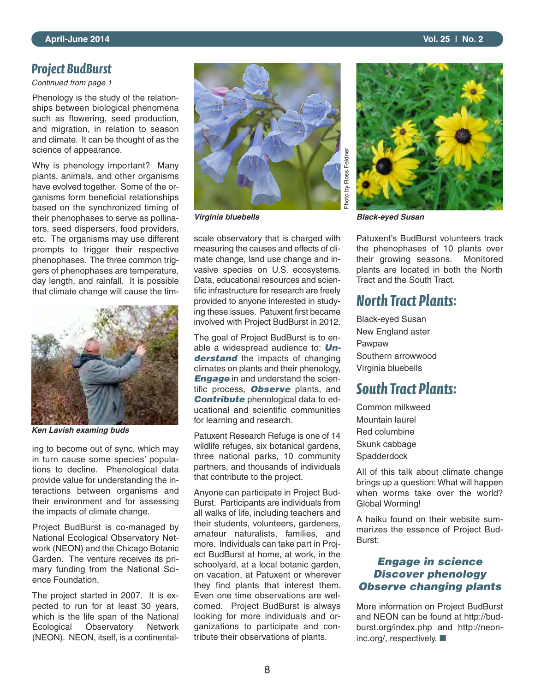#### *Project BudBurst*

*Continued from page 1*

Phenology is the study of the relationships between biological phenomena such as flowering, seed production, and migration, in relation to season and climate. It can be thought of as the science of appearance.

Why is phenology important? Many plants, animals, and other organisms have evolved together. Some of the organisms form beneficial relationships based on the synchronized timing of their phenophases to serve as pollinators, seed dispersers, food providers, etc. The organisms may use different prompts to trigger their respective phenophases. The three common triggers of phenophases are temperature, day length, and rainfall. It is possible that climate change will cause the tim-



*Ken Lavish examing buds*

ing to become out of sync, which may in turn cause some species' populations to decline. Phenological data provide value for understanding the interactions between organisms and their environment and for assessing the impacts of climate change.

Project BudBurst is co-managed by National Ecological Observatory Network (NEON) and the Chicago Botanic Garden. The venture receives its primary funding from the National Science Foundation.

The project started in 2007. It is expected to run for at least 30 years, which is the life span of the National Ecological Observatory Network (NEON). NEON, itself, is a continental-



scale observatory that is charged with measuring the causes and effects of climate change, land use change and invasive species on U.S. ecosystems. Data, educational resources and scientific infrastructure for research are freely provided to anyone interested in studying these issues. Patuxent first became involved with Project BudBurst in 2012.

The goal of Project BudBurst is to enable a widespread audience to: *Understand* the impacts of changing climates on plants and their phenology, **Engage** in and understand the scientific process, *Observe* plants, and *Contribute* phenological data to educational and scientific communities for learning and research.

Patuxent Research Refuge is one of 14 wildlife refuges, six botanical gardens, three national parks, 10 community partners, and thousands of individuals that contribute to the project.

Anyone can participate in Project Bud-Burst. Participants are individuals from all walks of life, including teachers and their students, volunteers, gardeners, amateur naturalists, families, and more. Individuals can take part in Project BudBurst at home, at work, in the schoolyard, at a local botanic garden, on vacation, at Patuxent or wherever they find plants that interest them. Even one time observations are welcomed. Project BudBurst is always looking for more individuals and organizations to participate and contribute their observations of plants.



*Virginia bluebells Black-eyed Susan*

Patuxent's BudBurst volunteers track the phenophases of 10 plants over their growing seasons. Monitored plants are located in both the North Tract and the South Tract.

#### *North Tract Plants:*

Black-eyed Susan New England aster Pawpaw Southern arrowwood Virginia bluebells

#### *South Tract Plants:*

Common milkweed Mountain laurel Red columbine Skunk cabbage **Spadderdock** 

All of this talk about climate change brings up a question: What will happen when worms take over the world? Global Worming!

A haiku found on their website summarizes the essence of Project Bud-Burst:

#### *Engage in science Discover phenology Observe changing plants*

More information on Project BudBurst and NEON can be found at http://budburst.org/index.php and http://neoninc.org/, respectively. ■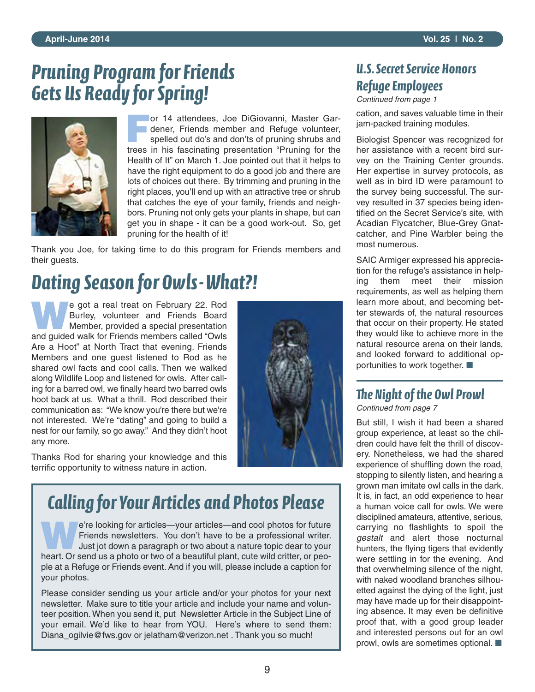## *Pruning Program for Friends Gets Us Ready for Spring!*



**For 14 attendees, Joe DiGiovanni, Master Gar-**<br> **For dener, Friends member and Refuge volunteer, spelled out do's and don'ts of pruning shrubs and** dener, Friends member and Refuge volunteer, trees in his fascinating presentation "Pruning for the Health of It" on March 1. Joe pointed out that it helps to have the right equipment to do a good job and there are lots of choices out there. By trimming and pruning in the right places, you'll end up with an attractive tree or shrub that catches the eye of your family, friends and neighbors. Pruning not only gets your plants in shape, but can get you in shape - it can be a good work-out. So, get pruning for the health of it!

Thank you Joe, for taking time to do this program for Friends members and their guests.

## *Dating Season for Owls-What?!*

**WAGE STATE STATE OF STATE OF STATE OF STATE STATE STATE STATE STATE STATE STATE STATE STATE STATE STATE STATE STATE STATE STATE STATE STATE STATE STATE STATE STATE STATE STATE STATE STATE STATE STATE STATE STATE STATE STA** Burley, volunteer and Friends Board and guided walk for Friends members called "Owls Are a Hoot" at North Tract that evening. Friends Members and one guest listened to Rod as he shared owl facts and cool calls. Then we walked along Wildlife Loop and listened for owls. After calling for a barred owl, we finally heard two barred owls hoot back at us. What a thrill. Rod described their communication as: "We know you're there but we're not interested. We're "dating" and going to build a nest for our family, so go away." And they didn't hoot any more.

Thanks Rod for sharing your knowledge and this terrific opportunity to witness nature in action.



## *Calling for Your Articles and Photos Please*

**W**e're looking for articles—your articles—and cool photos for future Friends newsletters. You don't have to be a professional writer. Just jot down a paragraph or two about a nature topic dear to your heart. Or send us a photo or two of a beautiful plant, cute wild critter, or people at a Refuge or Friends event. And if you will, please include a caption for your photos.

Please consider sending us your article and/or your photos for your next newsletter. Make sure to title your article and include your name and volunteer position. When you send it, put Newsletter Article in the Subject Line of your email. We'd like to hear from YOU. Here's where to send them: Diana\_ogilvie@fws.gov or jelatham@verizon.net . Thank you so much!

#### *U.S. Secret Service Honors Refuge Employees*

*Continued from page 1*

cation, and saves valuable time in their jam-packed training modules.

Biologist Spencer was recognized for her assistance with a recent bird survey on the Training Center grounds. Her expertise in survey protocols, as well as in bird ID were paramount to the survey being successful. The survey resulted in 37 species being identified on the Secret Service's site, with Acadian Flycatcher, Blue-Grey Gnatcatcher, and Pine Warbler being the most numerous.

SAIC Armiger expressed his appreciation for the refuge's assistance in helping them meet their mission requirements, as well as helping them learn more about, and becoming better stewards of, the natural resources that occur on their property. He stated they would like to achieve more in the natural resource arena on their lands, and looked forward to additional opportunities to work together. ■

### *e Night of the Owl Prowl*

*Continued from page 7*

But still, I wish it had been a shared group experience, at least so the children could have felt the thrill of discovery. Nonetheless, we had the shared experience of shuffling down the road, stopping to silently listen, and hearing a grown man imitate owl calls in the dark. It is, in fact, an odd experience to hear a human voice call for owls. We were disciplined amateurs, attentive, serious, carrying no flashlights to spoil the *gestalt* and alert those nocturnal hunters, the flying tigers that evidently were settling in for the evening. And that overwhelming silence of the night, with naked woodland branches silhouetted against the dying of the light, just may have made up for their disappointing absence. It may even be definitive proof that, with a good group leader and interested persons out for an owl prowl, owls are sometimes optional. ■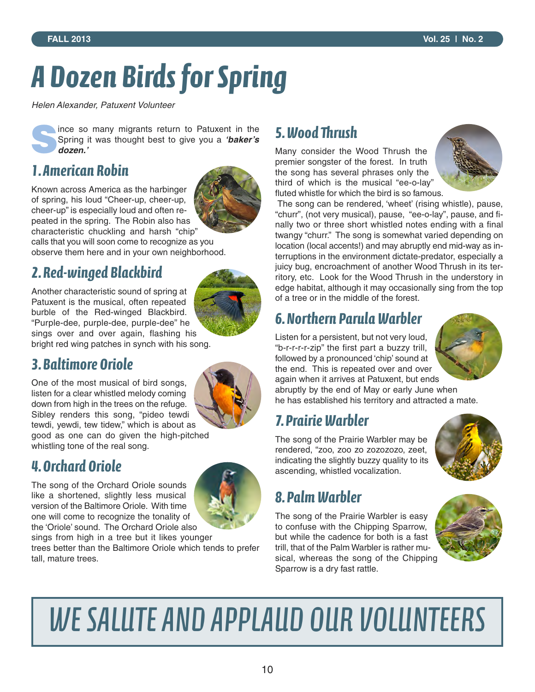# *A Dozen Birds for Spring*

*Helen Alexander, Patuxent Volunteer*

**Solution Spring it was thought best to give you a 'baker's dozen.'** Spring it was thought best to give you a *'baker's dozen.'*

#### *1. American Robin*

Known across America as the harbinger of spring, his loud "Cheer-up, cheer-up, cheer-up" is especially loud and often repeated in the spring. The Robin also has characteristic chuckling and harsh "chip"



calls that you will soon come to recognize as you observe them here and in your own neighborhood.

### *2. Red-winged Blackbird*

Another characteristic sound of spring at Patuxent is the musical, often repeated burble of the Red-winged Blackbird. "Purple-dee, purple-dee, purple-dee" he sings over and over again, flashing his bright red wing patches in synch with his song.

#### *3. Baltimore Oriole*

One of the most musical of bird songs, listen for a clear whistled melody coming down from high in the trees on the refuge. Sibley renders this song, "pideo tewdi tewdi, yewdi, tew tidew," which is about as good as one can do given the high-pitched whistling tone of the real song.

### *4. Orchard Oriole*

The song of the Orchard Oriole sounds like a shortened, slightly less musical version of the Baltimore Oriole. With time one will come to recognize the tonality of the 'Oriole' sound. The Orchard Oriole also



sings from high in a tree but it likes younger trees better than the Baltimore Oriole which tends to prefer

tall, mature trees.

### *5. Wood rush*

Many consider the Wood Thrush the premier songster of the forest. In truth the song has several phrases only the third of which is the musical "ee-o-lay" fluted whistle for which the bird is so famous.



The song can be rendered, 'wheet' (rising whistle), pause, "churr", (not very musical), pause, "ee-o-lay", pause, and finally two or three short whistled notes ending with a final twangy "churr." The song is somewhat varied depending on location (local accents!) and may abruptly end mid-way as interruptions in the environment dictate-predator, especially a juicy bug, encroachment of another Wood Thrush in its territory, etc. Look for the Wood Thrush in the understory in edge habitat, although it may occasionally sing from the top of a tree or in the middle of the forest.

### *6. Northern Parula Warbler*

Listen for a persistent, but not very loud, "b-r-r-r-r-zip" the first part a buzzy trill, followed by a pronounced 'chip' sound at the end. This is repeated over and over again when it arrives at Patuxent, but ends



abruptly by the end of May or early June when he has established his territory and attracted a mate.

### *7. Prairie Warbler*

The song of the Prairie Warbler may be rendered, "zoo, zoo zo zozozozo, zeet, indicating the slightly buzzy quality to its ascending, whistled vocalization.



### *8. Palm Warbler*

The song of the Prairie Warbler is easy to confuse with the Chipping Sparrow, but while the cadence for both is a fast trill, that of the Palm Warbler is rather musical, whereas the song of the Chipping Sparrow is a dry fast rattle.



# WE SALUTE AND APPLAUD OUR VOLUNTEERS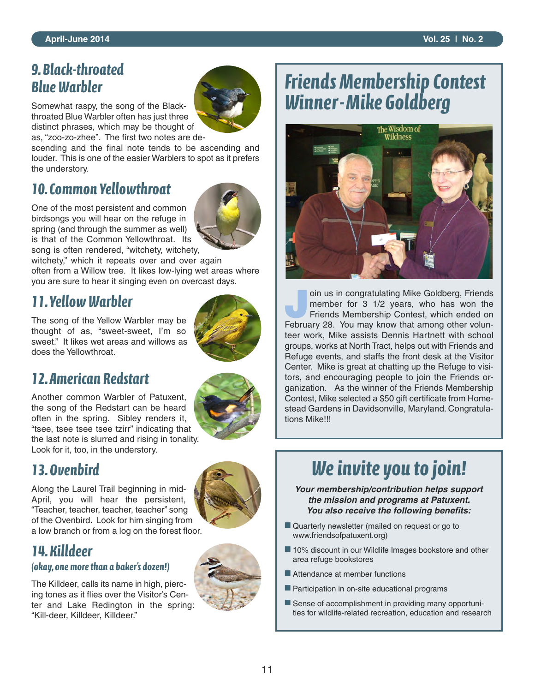#### *9. Black-throated Blue Warbler*

Somewhat raspy, the song of the Blackthroated Blue Warbler often has just three distinct phrases, which may be thought of as, "zoo-zo-zhee". The first two notes are de-

scending and the final note tends to be ascending and louder. This is one of the easier Warblers to spot as it prefers the understory.

### *10. Common Yellowthroat*

One of the most persistent and common birdsongs you will hear on the refuge in spring (and through the summer as well) is that of the Common Yellowthroat. Its song is often rendered, "witchety, witchety,

witchety," which it repeats over and over again often from a Willow tree. It likes low-lying wet areas where you are sure to hear it singing even on overcast days.

#### *11.Yellow Warbler*

The song of the Yellow Warbler may be thought of as, "sweet-sweet, I'm so sweet." It likes wet areas and willows as does the Yellowthroat.



Another common Warbler of Patuxent, the song of the Redstart can be heard often in the spring. Sibley renders it, "tsee, tsee tsee tsee tzirr" indicating that the last note is slurred and rising in tonality. Look for it, too, in the understory.

#### *13. Ovenbird*

Along the Laurel Trail beginning in mid-April, you will hear the persistent, "Teacher, teacher, teacher, teacher" song of the Ovenbird. Look for him singing from a low branch or from a log on the forest floor.



#### *14. Killdeer*

#### *(okay, one more than a baker's dozen!)*

The Killdeer, calls its name in high, piercing tones as it flies over the Visitor's Center and Lake Redington in the spring: "Kill-deer, Killdeer, Killdeer."



## *Friends Membership Contest Winner-Mike Goldberg*



oin us in congratulating Mike Goldberg, Friends<br>
member for 3 1/2 years, who has won the<br>
Friends Membership Contest, which ended on member for 3 1/2 years, who has won the February 28. You may know that among other volunteer work, Mike assists Dennis Hartnett with school groups, works at North Tract, helps out with Friends and Refuge events, and staffs the front desk at the Visitor Center. Mike is great at chatting up the Refuge to visitors, and encouraging people to join the Friends organization. As the winner of the Friends Membership Contest, Mike selected a \$50 gift certificate from Homestead Gardens in Davidsonville, Maryland. Congratulations Mike!!!

## *We invite you to join!*

*Your membership/contribution helps support the mission and programs at Patuxent. You also receive the following benefits:*

- Quarterly newsletter (mailed on request or go to www.friendsofpatuxent.org)
- 10% discount in our Wildlife Images bookstore and other area refuge bookstores
- Attendance at member functions
- Participation in on-site educational programs
- Sense of accomplishment in providing many opportunities for wildlife-related recreation, education and research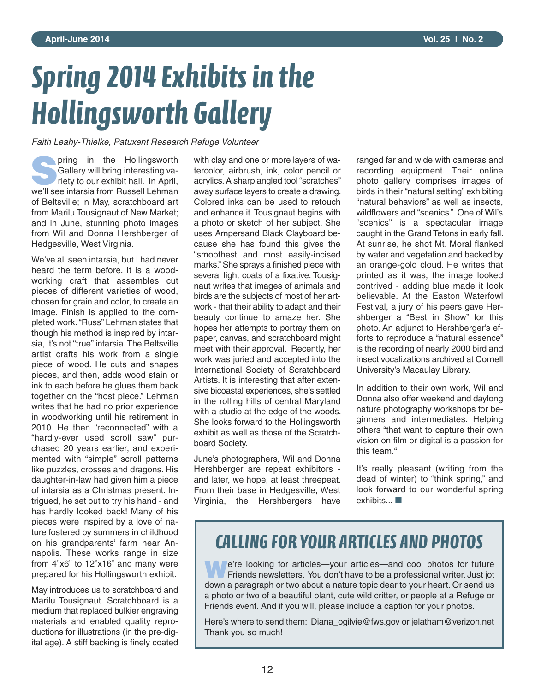# *Spring 2014 Exhibits in the Hollingsworth Gallery*

*Faith Leahy-Thielke, Patuxent Research Refuge Volunteer*

**S**pring in the Hollingsworth riety to our exhibit hall. In April, Gallery will bring interesting vawe'll see intarsia from Russell Lehman of Beltsville; in May, scratchboard art from Marilu Tousignaut of New Market; and in June, stunning photo images from Wil and Donna Hershberger of Hedgesville, West Virginia.

We've all seen intarsia, but I had never heard the term before. It is a woodworking craft that assembles cut pieces of different varieties of wood, chosen for grain and color, to create an image. Finish is applied to the completed work."Russ" Lehman states that though his method is inspired by intarsia, it's not "true" intarsia.The Beltsville artist crafts his work from a single piece of wood. He cuts and shapes pieces, and then, adds wood stain or ink to each before he glues them back together on the "host piece." Lehman writes that he had no prior experience in woodworking until his retirement in 2010. He then "reconnected" with a "hardly-ever used scroll saw" purchased 20 years earlier, and experimented with "simple" scroll patterns like puzzles, crosses and dragons. His daughter-in-law had given him a piece of intarsia as a Christmas present. Intrigued, he set out to try his hand - and has hardly looked back! Many of his pieces were inspired by a love of nature fostered by summers in childhood on his grandparents' farm near Annapolis. These works range in size from 4"x6" to 12"x16" and many were prepared for his Hollingsworth exhibit.

May introduces us to scratchboard and Marilu Tousignaut. Scratchboard is a medium that replaced bulkier engraving materials and enabled quality reproductions for illustrations (in the pre-digital age). A stiff backing is finely coated

with clay and one or more layers of watercolor, airbrush, ink, color pencil or acrylics. A sharp angled tool "scratches" away surface layers to create a drawing. Colored inks can be used to retouch and enhance it. Tousignaut begins with a photo or sketch of her subject. She uses Ampersand Black Clayboard because she has found this gives the "smoothest and most easily-incised marks." She sprays a finished piece with several light coats of a fixative. Tousignaut writes that images of animals and birds are the subjects of most of her artwork - that their ability to adapt and their beauty continue to amaze her. She hopes her attempts to portray them on paper, canvas, and scratchboard might meet with their approval. Recently, her work was juried and accepted into the International Society of Scratchboard Artists. It is interesting that after extensive bicoastal experiences, she's settled in the rolling hills of central Maryland with a studio at the edge of the woods. She looks forward to the Hollingsworth exhibit as well as those of the Scratchboard Society.

June's photographers, Wil and Donna Hershberger are repeat exhibitors and later, we hope, at least threepeat. From their base in Hedgesville, West Virginia, the Hershbergers have ranged far and wide with cameras and recording equipment. Their online photo gallery comprises images of birds in their "natural setting" exhibiting "natural behaviors" as well as insects, wildflowers and "scenics." One of Wil's "scenics" is a spectacular image caught in the Grand Tetons in early fall. At sunrise, he shot Mt. Moral flanked by water and vegetation and backed by an orange-gold cloud. He writes that printed as it was, the image looked contrived - adding blue made it look believable. At the Easton Waterfowl Festival, a jury of his peers gave Hershberger a "Best in Show" for this photo. An adjunct to Hershberger's efforts to reproduce a "natural essence" is the recording of nearly 2000 bird and insect vocalizations archived at Cornell University's Macaulay Library.

In addition to their own work, Wil and Donna also offer weekend and daylong nature photography workshops for beginners and intermediates. Helping others "that want to capture their own vision on film or digital is a passion for this team."

It's really pleasant (writing from the dead of winter) to "think spring," and look forward to our wonderful spring exhibits... ■

## *CAllING FOR YOUR ARTIClES AND PHOTOS*

**We're looking for articles—your articles—and cool photos for future Fiends newsletters. You don't have to be a professional writer. Just jot** down a paragraph or two about a nature topic dear to your heart. Or send us a photo or two of a beautiful plant, cute wild critter, or people at a Refuge or Friends event. And if you will, please include a caption for your photos.

Here's where to send them: Diana\_ogilvie@fws.gov or jelatham@verizon.net Thank you so much!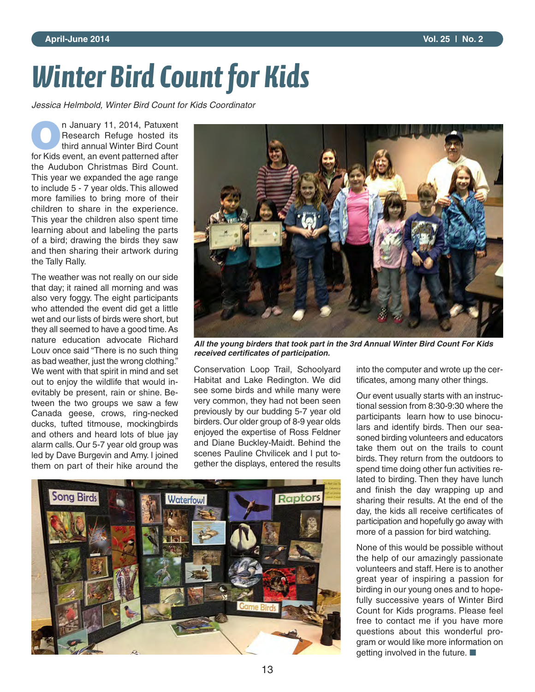# *Winter Bird Count for Kids*

*Jessica Helmbold, Winter Bird Count for Kids Coordinator*

**O**n January 11, 2014, Patuxent Research Refuge hosted its third annual Winter Bird Count for Kids event, an event patterned after the Audubon Christmas Bird Count. This year we expanded the age range to include 5 - 7 year olds. This allowed more families to bring more of their children to share in the experience. This year the children also spent time learning about and labeling the parts of a bird; drawing the birds they saw and then sharing their artwork during the Tally Rally.

The weather was not really on our side that day; it rained all morning and was also very foggy. The eight participants who attended the event did get a little wet and our lists of birds were short, but they all seemed to have a good time. As nature education advocate Richard Louv once said "There is no such thing as bad weather, just the wrong clothing." We went with that spirit in mind and set out to enjoy the wildlife that would inevitably be present, rain or shine. Between the two groups we saw a few Canada geese, crows, ring-necked ducks, tufted titmouse, mockingbirds and others and heard lots of blue jay alarm calls. Our 5-7 year old group was led by Dave Burgevin and Amy. I joined them on part of their hike around the



*All the young birders that took part in the 3rd Annual Winter Bird Count For Kids received certificates of participation.*

Conservation Loop Trail, Schoolyard Habitat and Lake Redington. We did see some birds and while many were very common, they had not been seen previously by our budding 5-7 year old birders. Our older group of 8-9 year olds enjoyed the expertise of Ross Feldner and Diane Buckley-Maidt. Behind the scenes Pauline Chvilicek and I put together the displays, entered the results



into the computer and wrote up the certificates, among many other things.

Our event usually starts with an instructional session from 8:30-9:30 where the participants learn how to use binoculars and identify birds. Then our seasoned birding volunteers and educators take them out on the trails to count birds. They return from the outdoors to spend time doing other fun activities related to birding. Then they have lunch and finish the day wrapping up and sharing their results. At the end of the day, the kids all receive certificates of participation and hopefully go away with more of a passion for bird watching.

None of this would be possible without the help of our amazingly passionate volunteers and staff. Here is to another great year of inspiring a passion for birding in our young ones and to hopefully successive years of Winter Bird Count for Kids programs. Please feel free to contact me if you have more questions about this wonderful program or would like more information on getting involved in the future. ■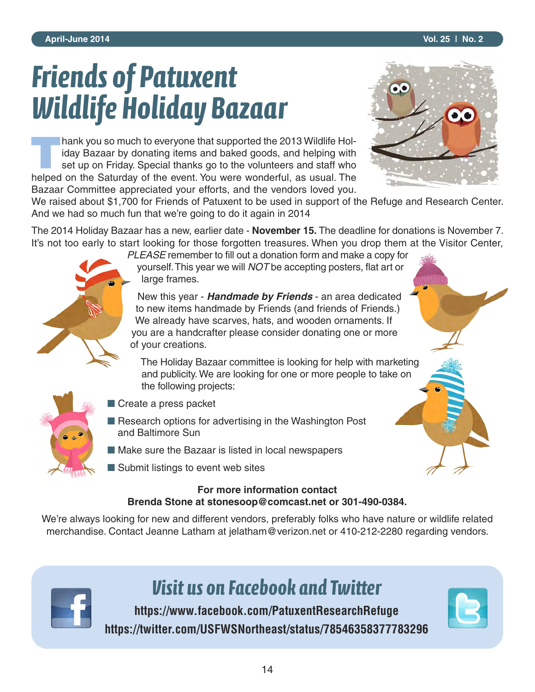# *Friends of Patuxent Wildlife Holiday Bazaar*

**Thank you so much to everyone that supported the 2013 Wildlife Holiday Bazaar by donating items and baked goods, and helping with set up on Friday. Special thanks go to the volunteers and staff who** iday Bazaar by donating items and baked goods, and helping with set up on Friday. Special thanks go to the volunteers and staff who helped on the Saturday of the event. You were wonderful, as usual. The Bazaar Committee appreciated your efforts, and the vendors loved you.



We raised about \$1,700 for Friends of Patuxent to be used in support of the Refuge and Research Center. And we had so much fun that we're going to do it again in 2014

The 2014 Holiday Bazaar has a new, earlier date - **November 15.** The deadline for donations is November 7. It's not too early to start looking for those forgotten treasures. When you drop them at the Visitor Center,



*PLEASE* remember to fill out a donation form and make a copy for yourself.This year we will *NOT* be accepting posters, flat art or large frames.

New this year - *Handmade by Friends* - an area dedicated to new items handmade by Friends (and friends of Friends.) We already have scarves, hats, and wooden ornaments. If you are a handcrafter please consider donating one or more of your creations.

The Holiday Bazaar committee is looking for help with marketing and publicity. We are looking for one or more people to take on the following projects:

- 
- Create a press packet
- Research options for advertising in the Washington Post and Baltimore Sun
- Make sure the Bazaar is listed in local newspapers
- Submit listings to event web sites

#### **For more information contact Brenda Stone at stonesoop@comcast.net or 301-490-0384.**

We're always looking for new and different vendors, preferably folks who have nature or wildlife related merchandise. Contact Jeanne Latham at jelatham@verizon.net or 410-212-2280 regarding vendors.



## *Visit us on Facebook and Twitter*

**https://www.facebook.com/PatuxentResearchRefuge https://twitter.com/USFWSNortheast/status/78546358377783296**

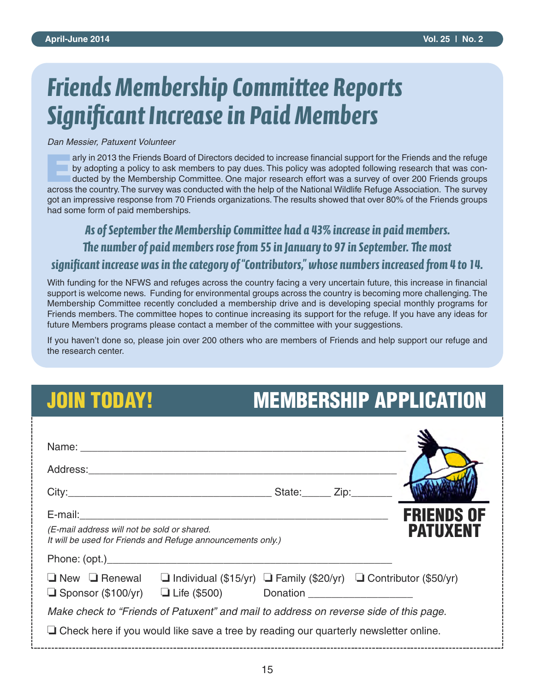# *Friends Membership Committee Reports Significant Increase in Paid Members*

*Dan Messier, Patuxent Volunteer*

**Early in 2013 the Friends Board of Directors decided to increase financial support for the Friends and the refuge<br>by adopting a policy to ask members to pay dues. This policy was adopted following research that was con-<br>d** by adopting a policy to ask members to pay dues. This policy was adopted following research that was conducted by the Membership Committee. One major research effort was a survey of over 200 Friends groups across the country.The survey was conducted with the help of the National Wildlife Refuge Association. The survey got an impressive response from 70 Friends organizations. The results showed that over 80% of the Friends groups had some form of paid memberships.

*As of September the Membership Committee had a 43% increase in paid members.* The number of paid members rose from 55 in January to 97 in September. The most significant increase was in the category of "Contributors," whose numbers increased from 4 to 14.

With funding for the NFWS and refuges across the country facing a very uncertain future, this increase in financial support is welcome news. Funding for environmental groups across the country is becoming more challenging.The Membership Committee recently concluded a membership drive and is developing special monthly programs for Friends members. The committee hopes to continue increasing its support for the refuge. If you have any ideas for future Members programs please contact a member of the committee with your suggestions.

If you haven't done so, please join over 200 others who are members of Friends and help support our refuge and the research center.

## **JOIN TODAY! MEMBERSHIP APPLICATION**

| (E-mail address will not be sold or shared.<br>It will be used for Friends and Refuge announcements only.) |  |  | <b>FRIENDS OF</b><br><b>PATUXENT</b> |  |  |
|------------------------------------------------------------------------------------------------------------|--|--|--------------------------------------|--|--|
|                                                                                                            |  |  |                                      |  |  |
| $\Box$ New $\Box$ Renewal $\Box$ Individual (\$15/yr) $\Box$ Family (\$20/yr) $\Box$ Contributor (\$50/yr) |  |  |                                      |  |  |
| Make check to "Friends of Patuxent" and mail to address on reverse side of this page.                      |  |  |                                      |  |  |
| $\Box$ Check here if you would like save a tree by reading our quarterly newsletter online.                |  |  |                                      |  |  |